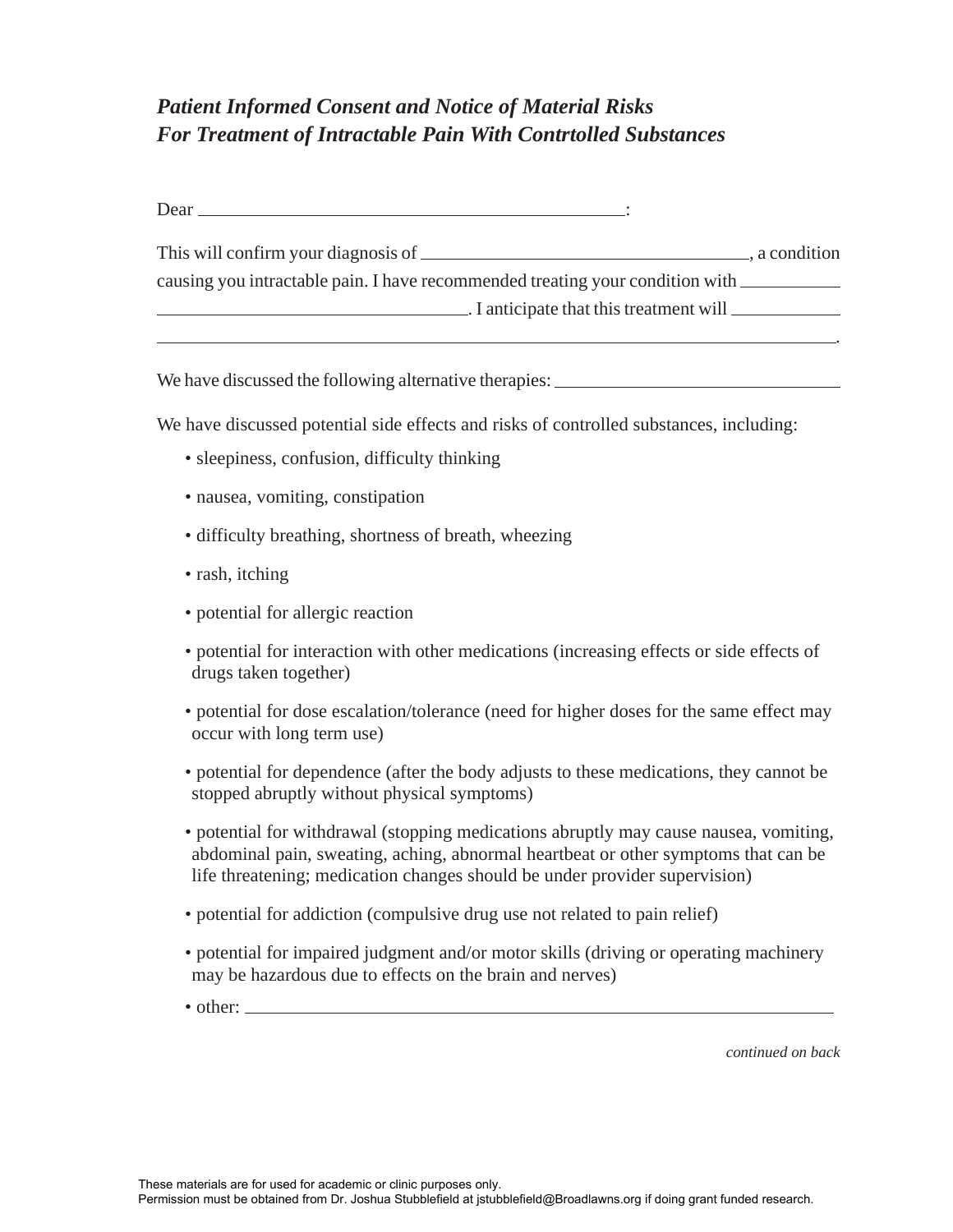## *Patient Informed Consent and Notice of Material Risks For Treatment of Intractable Pain With Contrtolled Substances*

| Dear                                                                          |             |
|-------------------------------------------------------------------------------|-------------|
| This will confirm your diagnosis of $\overline{\phantom{a}}$                  | a condition |
| causing you intractable pain. I have recommended treating your condition with |             |
| $\Box$ I anticipate that this treatment will $\Box$                           |             |

We have discussed the following alternative therapies:

We have discussed potential side effects and risks of controlled substances, including:

- sleepiness, confusion, difficulty thinking
- nausea, vomiting, constipation
- difficulty breathing, shortness of breath, wheezing
- rash, itching
- potential for allergic reaction
- potential for interaction with other medications (increasing effects or side effects of drugs taken together)
- potential for dose escalation/tolerance (need for higher doses for the same effect may occur with long term use)
- potential for dependence (after the body adjusts to these medications, they cannot be stopped abruptly without physical symptoms)
- potential for withdrawal (stopping medications abruptly may cause nausea, vomiting, abdominal pain, sweating, aching, abnormal heartbeat or other symptoms that can be life threatening; medication changes should be under provider supervision)
- potential for addiction (compulsive drug use not related to pain relief)
- potential for impaired judgment and/or motor skills (driving or operating machinery may be hazardous due to effects on the brain and nerves)
- other:

*continued on back*

.